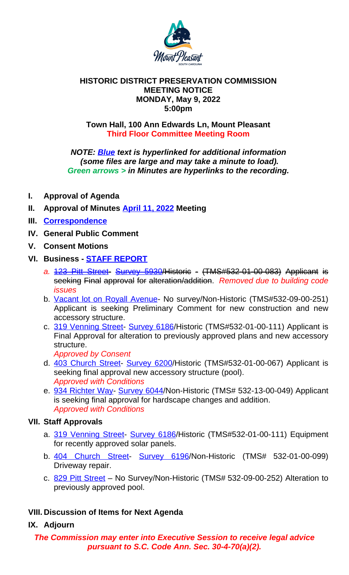### **Town Hall, 100 Ann Edwards Ln, Mount Pleasant Third Floor Committee Meeting Room**

*NOTE: Blue text is hyperlinked for additional information (some files are large and may take a minute to load). Green arrows > in Minutes are hyperlinks to the recording.*

- **I. Approval of Agenda**
- **II. Approval of Minutes April 11, 2022 Meeting**
- **III. Correspondence**
- **IV. General Public Comment**
- **V. Consent Motions**
- **VI. Business STAFF REPORT**
	- *a.* 123 Pitt Street- Survey 5930/Historic (TMS#532-01-00-083) Applicant is seeking Final approval for alteration/addition. *Removed due to building code issues*
	- b. Vacant lot on Royall Avenue- No survey/Non-Historic (TMS#532-09-00-251) Applicant is seeking Preliminary Comment for new construction and new accessory structure.
	- c. 319 Venning Street- [Survey 6186/](https://www.tompsc.com/AgendaCenter/ViewFile/Minutes/_04112022-1174)Historic (TMS#532-01-00-111) Applicant is Final Approval for alteration to pr[eviously](https://www.tompsc.com/AgendaCenter/ViewFile/Minutes/_04112022-1174) approved plans and new accessory [structure.](https://www.tompsc.com/DocumentCenter/View/41671/Correspondence-125-Pitt-Street)

*Approved by Consent*

- d. 403 Church Street- Survey 6200/Historic (TMS#532-01-00-067) Applicant is seeking final approval new accessory structure (pool). *Approve[d with Conditions](https://www.tompsc.com/DocumentCenter/View/41545/HDPCMayMeeting)*
- e. [934 Richter Wa](https://www.tompsc.com/DocumentCenter/View/41460/123-Pitt-St-41822)y- [Survey 6044](https://www.tompsc.com/DocumentCenter/View/28990/123-Pitt-Street---5930)/Non-Historic (TMS# 532-13-00-049) Applicant is seeking final approval for hardscape changes and addition. *Approved with Conditions*

# **VII. St[aff Approvals](https://www.tompsc.com/DocumentCenter/View/41465/220412-OV-713-Royall-Ave-for-Submittal-optimized)**

- a. 319 Venning Street- Survey 6186/Historic (TMS#532-01-00-111) Equipment [for recently approve](https://www.tompsc.com/DocumentCenter/View/41461/319-Venning-St-41822-)[d solar panels](https://www.tompsc.com/documentcenter/view/29246).
- b. 404 Church Street- Survey 6196/Non-Historic (TMS# 532-01-00-099) Driveway repair.
- c. 829 Pitt Street No Survey/Non-Historic (TMS# 532-09-00-252) Alteration to [previously approved](https://www.tompsc.com/DocumentCenter/View/41463/403-CHURCH-ST-SUBMITTAL) [pool.](https://www.tompsc.com/documentcenter/view/29280)

## **VIII. Di[scussion of Item](https://www.tompsc.com/DocumentCenter/View/41467/943-Richter-Way-41822)[s for Next Ag](https://www.tompsc.com/documentcenter/view/29433)enda**

## **IX. Adjourn**

## *The Commission may enter into Executive Session to receive legal advice pursuant to S.C. Code Ann. Sec. 30-4-70(a)(2).*